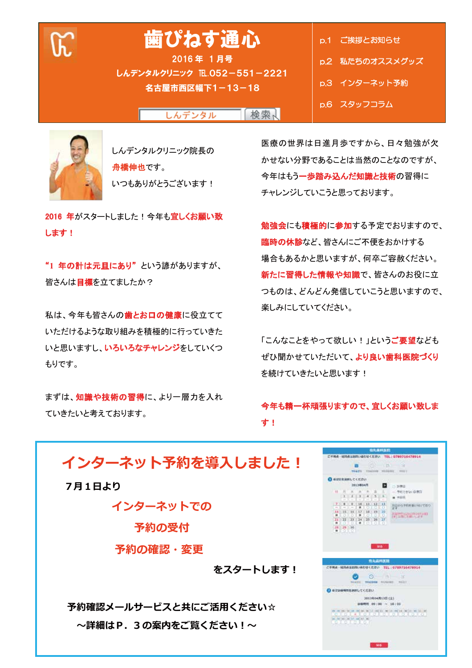**F.** 

# 歯ぴねす通心

2016年 1月号 しんデンタルクリニック IE.052-551-2221 名古屋市西区幅下1-13-18

p.1 ご挨拶とお知らせ p.2 私たちのオススメグッズ p.3 インターネット予約 p.6 スタッフコラム

しんデンタル 検索人



しんデンタルクリニック院長の 舟橋伸也です。 いつもありがとうございます!

2016 年がスタートしました!今年も宜しくお願い致 します!

"1 年の計は元旦にあり"という諺がありますが、 皆さんは目標を立てましたか?

私は、今年も皆さんの歯とお口の健康に役立てて いただけるような取り組みを積極的に行っていきた いと思いますし、いろいろなチャレンジをしていくつ もりです。

まずは、知識や技術の習得に、より一層力を入れ ていきたいと考えております。

医療の世界は日進月歩ですから、日々勉強が欠 かせない分野であることは当然のことなのですが、 今年はもう一歩踏み込んだ知識と技術の習得に チャレンジしていこうと思っております。

勉強会にも積極的に参加する予定でおりますので、 臨時の休診など、皆さんにご不便をおかけする 場合もあるかと思いますが、何卒ご容赦ください。 新たに習得した情報や知識で、皆さんのお役に立 つものは、どんどん発信していこうと思いますので、 楽しみにしていてください。

「こんなことをやって欲しい!」という**ご要望**なども ぜひ聞かせていただいて、より良い歯科医院づくり を続けていきたいと思います!

### 今年も精一杯頑張りますので、宜しくお願い致しま す!

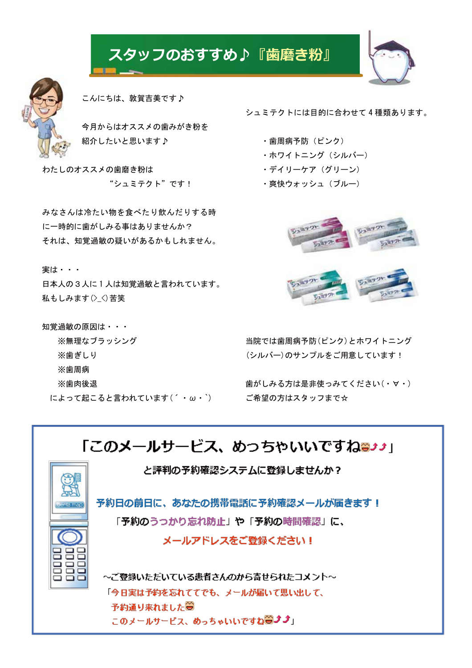## スタッフのおすすめ♪『歯磨き粉』



こんにちは、敦賀吉美です♪

今月からはオススメの歯みがき粉を 紹介したいと思います♪

わたしのオススメの歯磨き粉は "シュミテクト"です!

みなさんは冷たい物を食べたり飲んだりする時 に一時的に歯がしみる事はありませんか? それは、知覚過敏の疑いがあるかもしれません。

実は・・・

日本人の3人に1人は知覚過敏と言われています。 私もしみます(><)苦笑

知覚過敏の原因は・・・ ※無理なブラッシング ※歯ぎしり ※歯周病 ※歯肉後退 によって起こると言われています(´・ω・`) シュミテクトには目的に合わせて4種類あります。

- ・歯周病予防(ピンク)
- ・ホワイトニング (シルバー)
- ・デイリーケア (グリーン)
- ・爽快ウォッシュ (ブルー)



当院では歯周病予防(ピンク)とホワイトニング (シルバー)のサンプルをご用意しています!

歯がしみる方は是非使っみてください(・∀・) ご希望の方はスタッフまで☆

## 「このメールサービス、めっちゃいいですね<del>ョ</del>♪♪」

と評判の予約確認システムに登録しませんか?



予約日の前日に、あなたの携帯電話に予約確認メールが届きます! 「予約のうっかり忘れ防止」や「予約の時間確認」に、 メールアドレスをご登録ください!

~ご登録いただいている患者さんのから寄せられたコメント~ 「今日実は予約を忘れててでも、メールが届いて思い出して、 予約通り来れました● このメールサービス、めっちゃいいですね**⊜♪♪**」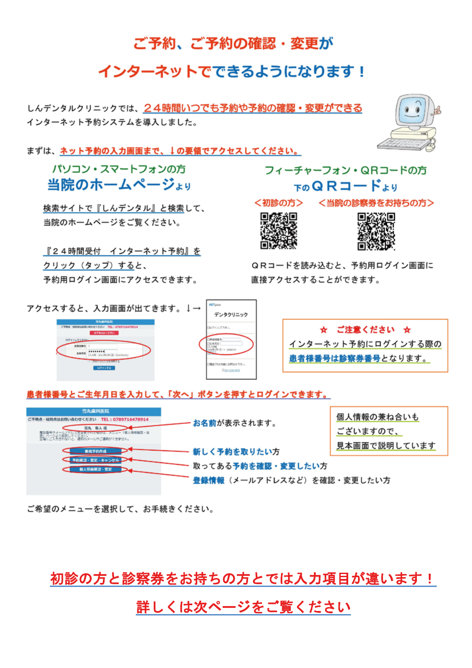## ご予約、ご予約の確認・変更が

## インターネットでできるようになります!

<u>しんデンタルクリニックでは、24時間いつでも予約や予約の確認・変更ができる</u> インターネット予約システムを導入しました。

まずは、ネット予約の入力画面まで、↓の要領でアクセスしてください。

パソコン・スマートフォンの方 当院のホームページょり

検索サイトで『しんデンタル』と検索して、 当院のホームページをご覧ください。

『24時間受付 インターネット予約』を クリック (タップ) すると、 予約用ログイン画面にアクセスできます。

## フィーチャーフォン・QRコードの方  $F\omega$ QRJ —  $F_{\pm}$ y

<初診の方> <当院の診察券をお持ちの方>





QRコードを読み込むと、予約用ログイン画面に 直接アクセスすることができます。



#### **‼者様番号とご生年月日を入力して、「次へ」ボタンを押すとログインできます。**



ご希望のメニューを選択して、お手続きください。

初診の方と診察券をお持ちの方とでは入力項目が違います!

## 詳しくは次ページをご覧ください

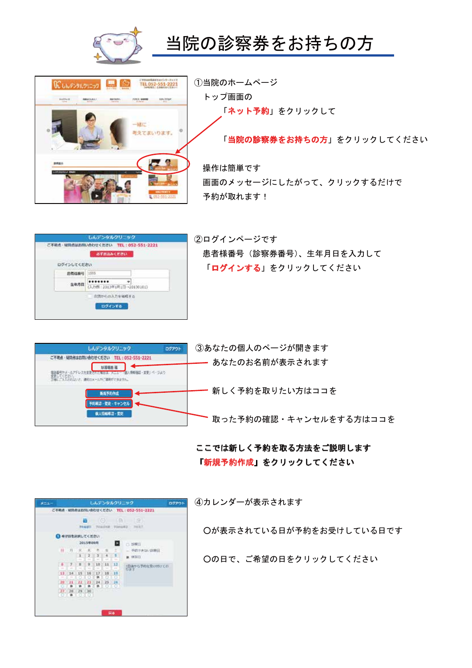

# WULFORDUNG 9 12002351-2221 **Sabine** 7243 AMM 12-2707 補定 えてまいります。

1当院のホームページ トップ画面の 「ネット予約」をクリックして

当院の診察券をお持ちの方

「当院の診察券をお持ちの方」をクリックしてください

操作は簡単です 画面のメッセージにしたがって、クリックするだけで 予約が取れます!

|              | ご不能点· MINdはお問い合わせください TEL: 052-551-2221<br>おすおはみください |
|--------------|------------------------------------------------------|
| ログインしてください   |                                                      |
| <b>热带样扇弓</b> | 1585                                                 |
| 生年月日         | 41<br>(入力例:2013年1月1日~20130101)                       |
|              | 次流かもの入力を省略する<br>ログインする                               |

2ログインページです 患者様番号 (診察券番号)、生年月日を入力して 「ログインする」をクリックしてください

| しんデンタルクリニック<br>ログアウト       | 3あなたの個人のページが開きます       |
|----------------------------|------------------------|
| 疑問者はお問い合わせください<br>551-3991 | あなたのお名前が表示されます         |
| 1/3/2/2 日                  |                        |
| 新成多的作成                     | 新しく予約を取りたい方はココを        |
|                            |                        |
| 日人情報電話 - 要更                | 取った予約の確認・キャンセルをする方はココを |

#### ここでは新しく予約を取る方法をご説明します 「新規予約作成」をクリックしてください

| $8 - 1 -$ |                |                |             |                        |                  |                                  |         | しんデンタルクリニック<br>ログアウト                           |
|-----------|----------------|----------------|-------------|------------------------|------------------|----------------------------------|---------|------------------------------------------------|
|           |                |                |             |                        |                  |                                  |         | ご不明点: 福岡市はお問い合わせください TEL: 052-551-2221         |
|           |                |                |             | Ш<br>学校展览区             |                  |                                  |         | $(0)$ $\Box$ $(2)$<br>- TOUSSEL FINGEZ<br>学校和学 |
|           |                | ● キマ日を詳細してください |             |                        |                  |                                  |         |                                                |
|           | an<br>2015年09月 |                |             |                        |                  |                                  | B       | 白胡柳目                                           |
|           |                | 日内             |             | $\mathcal{R}_{\rm{c}}$ | 工                | 顶                                | t       | 予経できない詳細日<br>u                                 |
|           |                |                | ī<br>$\sim$ | $\sim$                 | 213<br>$\sim$    | $-4$<br>$\overline{\phantom{a}}$ | 3.<br>÷ | ■ 停车日                                          |
|           | 6              | Y.             | н           | ٠                      | 10               | 11                               | 13      | 1日後から予約を受け付けてお                                 |
|           | ÷              | u.             | m           | m                      | <b>Selection</b> | $\sim$                           | -       | 竹宝丁                                            |
|           | 13<br>$\sim$   | 14<br>$\sim$   | 15          | 16                     | 17<br>$\alpha$   | 18                               | 19      | <b>STATISTICS</b>                              |
|           | 28             | 21             | 22          | 23                     | 24               | 25                               | 26      |                                                |
|           |                |                | u           |                        | th.              |                                  | σ       |                                                |
|           | 提              |                | 28 29 30    |                        |                  | ٠                                |         |                                                |
|           |                | ä              | ð           |                        |                  |                                  |         |                                                |

4カレンダーが表示されます

○が表示されている日が予約をお受けしている日です

○の日で、ご希望の日をクリックしてください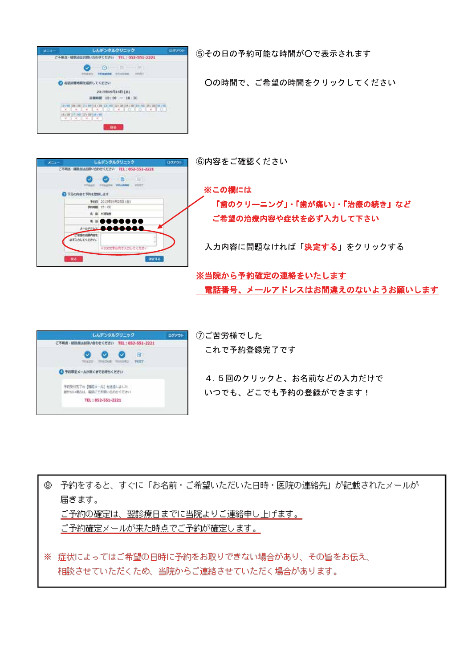

5その日の予約可能な時間がOで表示されます

○の時間で、ご希望の時間をクリックしてください



※この欄には 「歯のクリーニング」・「歯が痛い」・「治療の続き」など ご希望の治療内容や症状を必ず入力して下さい

入力内容に問題なければ「決定する」をクリックする

※当院から予約確定の連絡をいたします 電話番号、メールアドレスはお間違えのないようお願いします



⑦ご苦労様でした これで予約登録完了です

4.5回のクリックと、お名前などの入力だけで いつでも、どこでも予約の登録ができます!

⑧ 予約をすると、すぐに「お名前・ご希望いただいた日時・医院の連絡先」が記載されたメールが 届きます。 ご予約の確定は、翌診療日までに当院よりご連絡申し上げます。 ご予約確定メールが来た時点でご予約が確定します。

※ 症状によってはご希望の日時に予約をお取りできない場合があり、その旨をお伝え、 相談させていただくため、当院からご連絡させていただく場合があります。